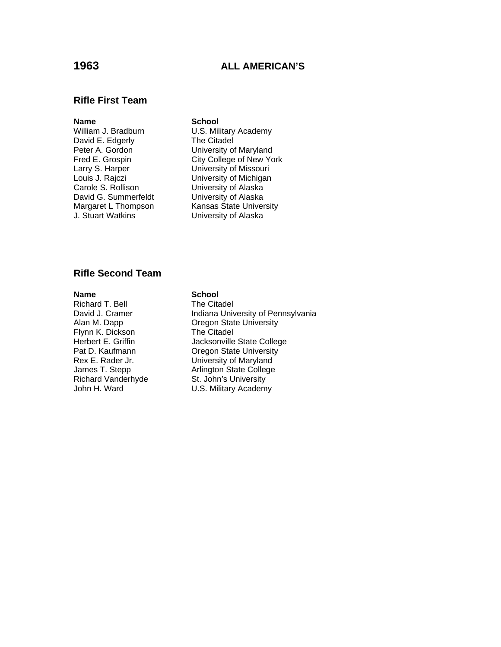# **1963 ALL AMERICAN'S**

## **Rifle First Team**

### **Name** School

David E. Edgerly<br>Peter A. Gordon Larry S. Harper University of Missouri Carole S. Rollison University of Alaska David G. Summerfeldt University of Alaska<br>
Margaret L Thompson Kansas State Univer J. Stuart Watkins University of Alaska

William J. Bradburn **U.S. Military Academy**<br>David E. Edgerly **The Citadel** University of Maryland Fred E. Grospin City College of New York Louis J. Rajczi University of Michigan Kansas State University

# **Rifle Second Team**

Richard T. Bell The Citadel Flynn K. Dickson<br>Herbert E. Griffin Richard Vanderhyde

## **Name** School

David J. Cramer **Indiana University of Pennsylvania** Alan M. Dapp **Calcul Communist Communist Communist** Cregon State University<br>
Flynn K. Dickson **Communist Communist Create** Jacksonville State College Pat D. Kaufmann **Oregon State University** Rex E. Rader Jr. University of Maryland James T. Stepp **Arlington State College**<br>
Richard Vanderhyde **College**<br>
St. John's University John H. Ward **U.S. Military Academy**